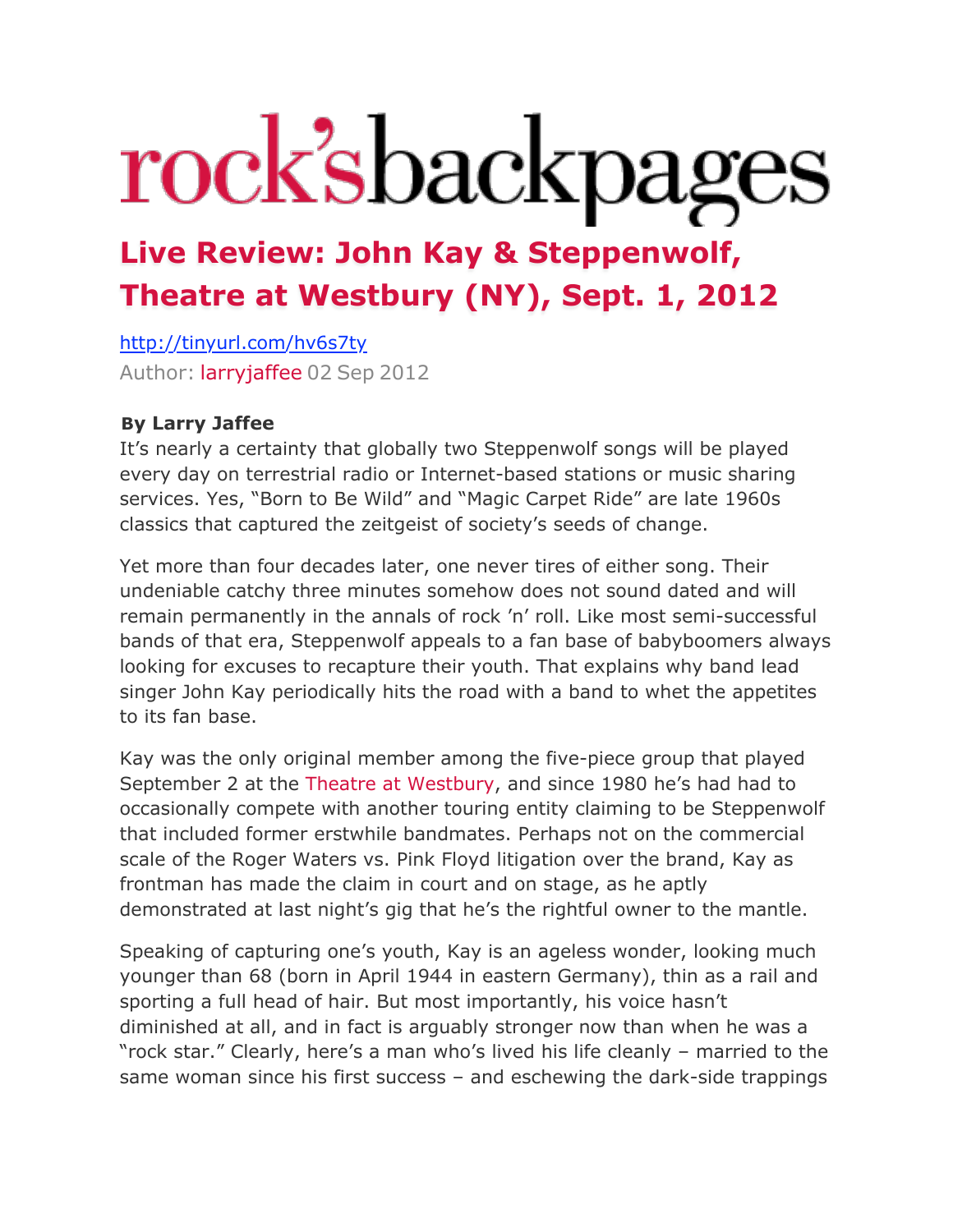## rock'sbackpages

## **[Live Review: John Kay & Steppenwolf,](http://web.archive.org/web/20120905184123/http://www.rocksbackpagesblogs.com/2012/09/live-review-john-kay-steppenwolf-westbury-music-fair-ny-sept-2-2012/)  [Theatre at Westbury \(NY\), Sept. 1, 2012](http://web.archive.org/web/20120905184123/http://www.rocksbackpagesblogs.com/2012/09/live-review-john-kay-steppenwolf-westbury-music-fair-ny-sept-2-2012/)**

<http://tinyurl.com/hv6s7ty> Author: [larryjaffee](http://web.archive.org/web/20120905184123/http://www.rocksbackpagesblogs.com/author/larryjaffee/) 02 Sep 2012

## **[B](http://web.archive.org/web/20120905184123/http://www.rocksbackpagesblogs.com/2012/09/live-review-john-kay-steppenwolf-westbury-music-fair-ny-sept-2-2012/steppenwolf/)y Larry Jaffee**

It's nearly a certainty that globally two Steppenwolf songs will be played every day on terrestrial radio or Internet-based stations or music sharing services. Yes, "Born to Be Wild" and "Magic Carpet Ride" are late 1960s classics that captured the zeitgeist of society's seeds of change.

Yet more than four decades later, one never tires of either song. Their undeniable catchy three minutes somehow does not sound dated and will remain permanently in the annals of rock 'n' roll. Like most semi-successful bands of that era, Steppenwolf appeals to a fan base of babyboomers always looking for excuses to recapture their youth. That explains why band lead singer John Kay periodically hits the road with a band to whet the appetites to its fan base.

Kay was the only original member among the five-piece group that played September 2 at the [Theatre at Westbury,](http://web.archive.org/web/20120905184123/http://thetheatreatwestbury.com/) and since 1980 he's had had to occasionally compete with another touring entity claiming to be Steppenwolf that included former erstwhile bandmates. Perhaps not on the commercial scale of the Roger Waters vs. Pink Floyd litigation over the brand, Kay as frontman has made the claim in court and on stage, as he aptly demonstrated at last night's gig that he's the rightful owner to the mantle.

Speaking of capturing one's youth, Kay is an ageless wonder, looking much younger than 68 (born in April 1944 in eastern Germany), thin as a rail and sporting a full head of hair. But most importantly, his voice hasn't diminished at all, and in fact is arguably stronger now than when he was a "rock star." Clearly, here's a man who's lived his life cleanly – married to the same woman since his first success – and eschewing the dark-side trappings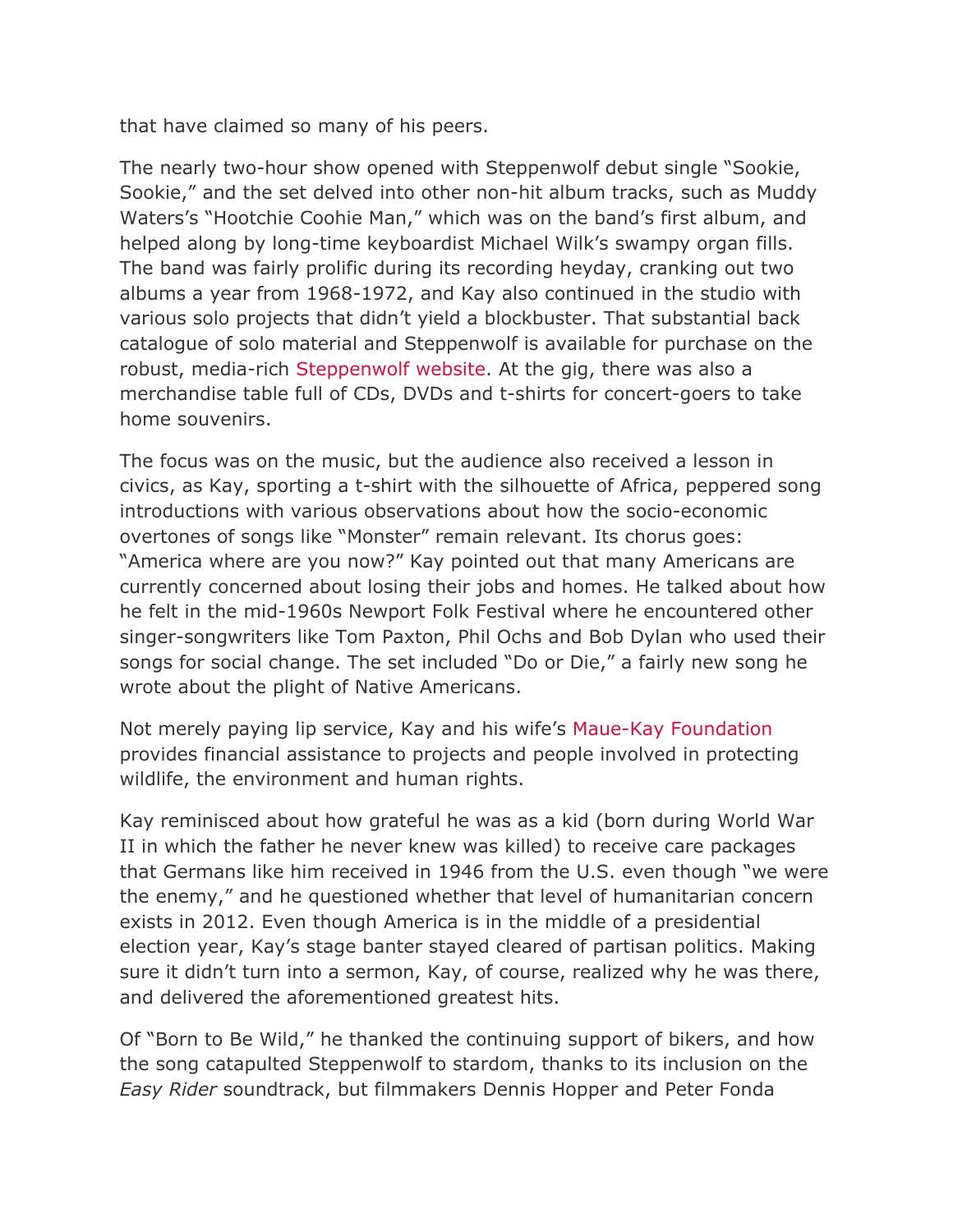that have claimed so many of his peers.

The nearly two-hour show opened with Steppenwolf debut single "Sookie, Sookie," and the set delved into other non-hit album tracks, such as Muddy Waters's "Hootchie Coohie Man," which was on the band's first album, and helped along by long-time keyboardist Michael Wilk's swampy organ fills. The band was fairly prolific during its recording heyday, cranking out two albums a year from 1968-1972, and Kay also continued in the studio with various solo projects that didn't yield a blockbuster. That substantial back catalogue of solo material and Steppenwolf is available for purchase on the robust, media-rich [Steppenwolf website](http://web.archive.org/web/20120905184123/http://steppenwolf.com/). At the gig, there was also a merchandise table full of CDs, DVDs and t-shirts for concert-goers to take home souvenirs.

The focus was on the music, but the audience also received a lesson in civics, as Kay, sporting a t-shirt with the silhouette of Africa, peppered song introductions with various observations about how the socio-economic overtones of songs like "Monster" remain relevant. Its chorus goes: "America where are you now?" Kay pointed out that many Americans are currently concerned about losing their jobs and homes. He talked about how he felt in the mid-1960s Newport Folk Festival where he encountered other singer-songwriters like Tom Paxton, Phil Ochs and Bob Dylan who used their songs for social change. The set included "Do or Die," a fairly new song he wrote about the plight of Native Americans.

Not merely paying lip service, Kay and his wife's [Maue-Kay Foundation](http://web.archive.org/web/20120905184123/http://www.mauekay.org/) provides financial assistance to projects and people involved in protecting wildlife, the environment and human rights.

Kay reminisced about how grateful he was as a kid (born during World War II in which the father he never knew was killed) to receive care packages that Germans like him received in 1946 from the U.S. even though "we were the enemy," and he questioned whether that level of humanitarian concern exists in 2012. Even though America is in the middle of a presidential election year, Kay's stage banter stayed cleared of partisan politics. Making sure it didn't turn into a sermon, Kay, of course, realized why he was there, and delivered the aforementioned greatest hits.

Of "Born to Be Wild," he thanked the continuing support of bikers, and how the song catapulted Steppenwolf to stardom, thanks to its inclusion on the *Easy Rider* soundtrack, but filmmakers Dennis Hopper and Peter Fonda